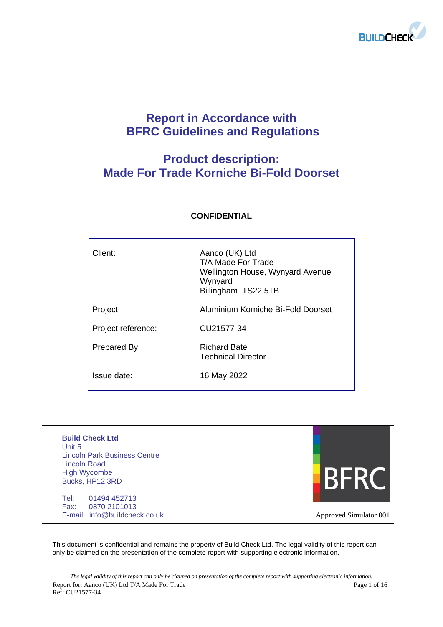

## **Report in Accordance with BFRC Guidelines and Regulations**

## **Product description: Made For Trade Korniche Bi-Fold Doorset**

| Client:            | Aanco (UK) Ltd<br>T/A Made For Trade<br>Wellington House, Wynyard Avenue<br>Wynyard<br>Billingham TS22 5TB |
|--------------------|------------------------------------------------------------------------------------------------------------|
| Project:           | Aluminium Korniche Bi-Fold Doorset                                                                         |
| Project reference: | CU21577-34                                                                                                 |
| Prepared By:       | <b>Richard Bate</b><br><b>Technical Director</b>                                                           |
| Issue date:        | 16 May 2022                                                                                                |

## **CONFIDENTIAL**

| <b>Build Check Ltd</b><br>Unit 5<br><b>Lincoln Park Business Centre</b><br>Lincoln Road<br><b>High Wycombe</b><br>Bucks, HP12 3RD |                        |
|-----------------------------------------------------------------------------------------------------------------------------------|------------------------|
| Tel:<br>01494 452713<br>0870 2101013<br>Fax:<br>E-mail: info@buildcheck.co.uk                                                     | Approved Simulator 001 |

This document is confidential and remains the property of Build Check Ltd. The legal validity of this report can only be claimed on the presentation of the complete report with supporting electronic information.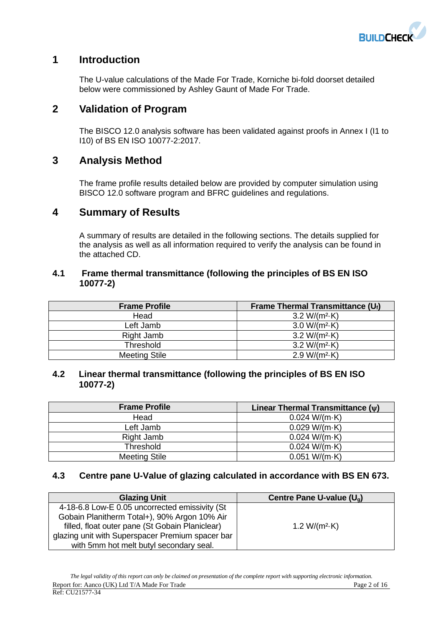

## **1 Introduction**

The U-value calculations of the Made For Trade, Korniche bi-fold doorset detailed below were commissioned by Ashley Gaunt of Made For Trade.

## **2 Validation of Program**

The BISCO 12.0 analysis software has been validated against proofs in Annex I (I1 to I10) of BS EN ISO 10077-2:2017.

## **3 Analysis Method**

The frame profile results detailed below are provided by computer simulation using BISCO 12.0 software program and BFRC guidelines and regulations.

## **4 Summary of Results**

A summary of results are detailed in the following sections. The details supplied for the analysis as well as all information required to verify the analysis can be found in the attached CD.

#### **4.1 Frame thermal transmittance (following the principles of BS EN ISO 10077-2)**

| <b>Frame Profile</b> | Frame Thermal Transmittance $(U_i)$ |
|----------------------|-------------------------------------|
| Head                 | 3.2 W/( $m^2$ -K)                   |
| Left Jamb            | $3.0 W/(m^2 \cdot K)$               |
| Right Jamb           | $3.2 W/(m^2 \cdot K)$               |
| <b>Threshold</b>     | $3.2 W/(m^2 \cdot K)$               |
| <b>Meeting Stile</b> | $2.9 W/(m^2 \cdot K)$               |

#### **4.2 Linear thermal transmittance (following the principles of BS EN ISO 10077-2)**

| <b>Frame Profile</b> | Linear Thermal Transmittance $(v)$ |
|----------------------|------------------------------------|
| Head                 | 0.024 W/(m·K)                      |
| Left Jamb            | 0.029 W/(m·K)                      |
| Right Jamb           | 0.024 W/(m·K)                      |
| Threshold            | 0.024 W/(m·K)                      |
| <b>Meeting Stile</b> | 0.051 W/(m·K)                      |

## **4.3 Centre pane U-Value of glazing calculated in accordance with BS EN 673.**

| <b>Glazing Unit</b>                              | Centre Pane U-value (U <sub>a</sub> ) |
|--------------------------------------------------|---------------------------------------|
| 4-18-6.8 Low-E 0.05 uncorrected emissivity (St   |                                       |
| Gobain Planitherm Total+), 90% Argon 10% Air     |                                       |
| filled, float outer pane (St Gobain Planiclear)  | 1.2 W/( $m^2$ ·K)                     |
| glazing unit with Superspacer Premium spacer bar |                                       |
| with 5mm hot melt butyl secondary seal.          |                                       |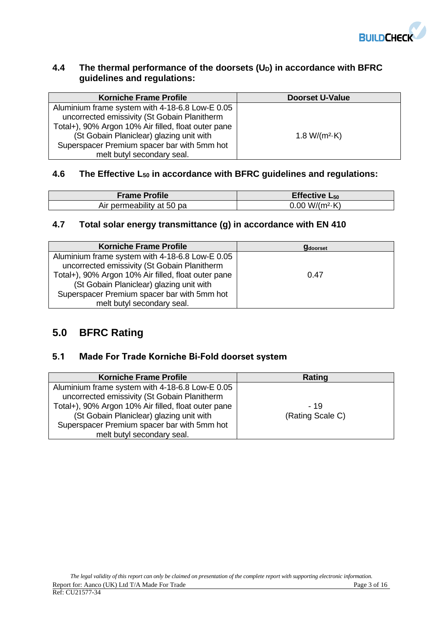

## **4.4 The thermal performance of the doorsets (UD) in accordance with BFRC guidelines and regulations:**

| <b>Korniche Frame Profile</b>                                                                                                                                                                                                                                                   | <b>Doorset U-Value</b> |
|---------------------------------------------------------------------------------------------------------------------------------------------------------------------------------------------------------------------------------------------------------------------------------|------------------------|
| Aluminium frame system with 4-18-6.8 Low-E 0.05<br>uncorrected emissivity (St Gobain Planitherm<br>Total+), 90% Argon 10% Air filled, float outer pane<br>(St Gobain Planiclear) glazing unit with<br>Superspacer Premium spacer bar with 5mm hot<br>melt butyl secondary seal. | 1.8 W/( $m^2$ -K)      |

## **4.6 The Effective L<sup>50</sup> in accordance with BFRC guidelines and regulations:**

| <b>Frame Profile</b>      | Effective $L_{50}$     |
|---------------------------|------------------------|
| Air permeability at 50 pa | $0.00 W/(m^2 \cdot K)$ |

## **4.7 Total solar energy transmittance (g) in accordance with EN 410**

| <b>Korniche Frame Profile</b>                       | <b>g</b> doorset |
|-----------------------------------------------------|------------------|
| Aluminium frame system with 4-18-6.8 Low-E 0.05     |                  |
| uncorrected emissivity (St Gobain Planitherm        |                  |
| Total+), 90% Argon 10% Air filled, float outer pane | 0.47             |
| (St Gobain Planiclear) glazing unit with            |                  |
| Superspacer Premium spacer bar with 5mm hot         |                  |
| melt butyl secondary seal.                          |                  |

## **5.0 BFRC Rating**

## **5.1 Made For Trade Korniche Bi-Fold doorset system**

| <b>Korniche Frame Profile</b>                       | Rating           |
|-----------------------------------------------------|------------------|
| Aluminium frame system with 4-18-6.8 Low-E 0.05     |                  |
| uncorrected emissivity (St Gobain Planitherm        |                  |
| Total+), 90% Argon 10% Air filled, float outer pane | - 19             |
| (St Gobain Planiclear) glazing unit with            | (Rating Scale C) |
| Superspacer Premium spacer bar with 5mm hot         |                  |
| melt butyl secondary seal.                          |                  |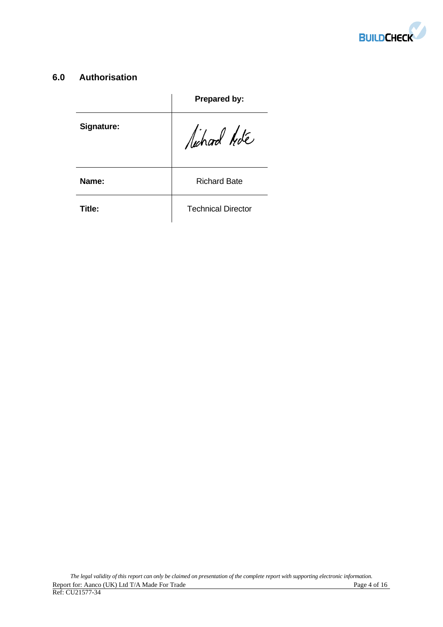

## **6.0 Authorisation**

|            | Prepared by:              |
|------------|---------------------------|
| Signature: | lichard hote              |
| Name:      | <b>Richard Bate</b>       |
| Title:     | <b>Technical Director</b> |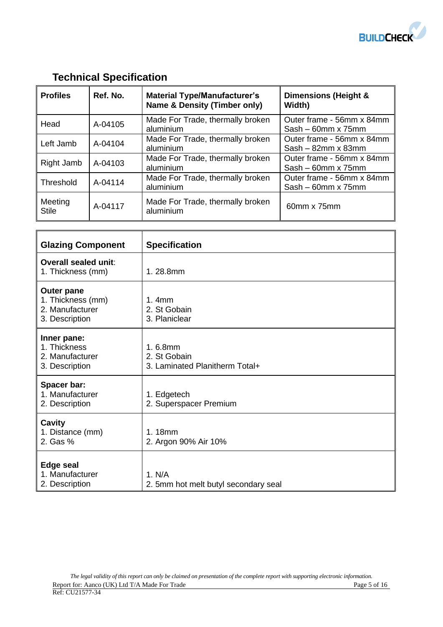

# **Technical Specification**

| <b>Profiles</b>         | Ref. No. | <b>Material Type/Manufacturer's</b><br><b>Name &amp; Density (Timber only)</b> | Dimensions (Height &<br>Width)                         |
|-------------------------|----------|--------------------------------------------------------------------------------|--------------------------------------------------------|
| Head                    | A-04105  | Made For Trade, thermally broken<br>aluminium                                  | Outer frame - 56mm x 84mm<br>$Sash - 60mm \times 75mm$ |
| Left Jamb               | A-04104  | Made For Trade, thermally broken<br>aluminium                                  | Outer frame - 56mm x 84mm<br>$Sash - 82mm \times 83mm$ |
| Right Jamb              | A-04103  | Made For Trade, thermally broken<br>aluminium                                  | Outer frame - 56mm x 84mm<br>$Sash - 60mm \times 75mm$ |
| Threshold               | A-04114  | Made For Trade, thermally broken<br>aluminium                                  | Outer frame - 56mm x 84mm<br>$Sash - 60mm \times 75mm$ |
| Meeting<br><b>Stile</b> | A-04117  | Made For Trade, thermally broken<br>aluminium                                  | 60mm x 75mm                                            |

| <b>Glazing Component</b>                                                    | <b>Specification</b>                                      |
|-----------------------------------------------------------------------------|-----------------------------------------------------------|
| Overall sealed unit:<br>1. Thickness (mm)                                   | 1.28.8mm                                                  |
| <b>Outer pane</b><br>1. Thickness (mm)<br>2. Manufacturer<br>3. Description | 1.4mm<br>2. St Gobain<br>3. Planiclear                    |
| Inner pane:<br>1. Thickness<br>2. Manufacturer<br>3. Description            | 1.6.8mm<br>2. St Gobain<br>3. Laminated Planitherm Total+ |
| Spacer bar:<br>1. Manufacturer<br>2. Description                            | 1. Edgetech<br>2. Superspacer Premium                     |
| Cavity<br>1. Distance (mm)<br>2. Gas %                                      | 1.18mm<br>2. Argon 90% Air 10%                            |
| <b>Edge seal</b><br>1. Manufacturer<br>2. Description                       | 1. N/A<br>2. 5mm hot melt butyl secondary seal            |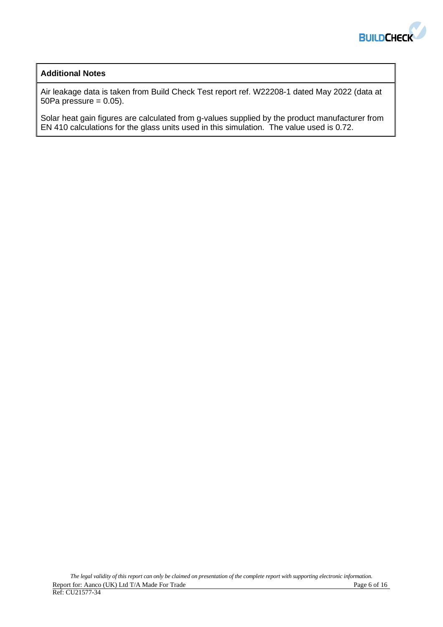

#### **Additional Notes**

Air leakage data is taken from Build Check Test report ref. W22208-1 dated May 2022 (data at 50Pa pressure  $= 0.05$ ).

Solar heat gain figures are calculated from g-values supplied by the product manufacturer from EN 410 calculations for the glass units used in this simulation. The value used is 0.72.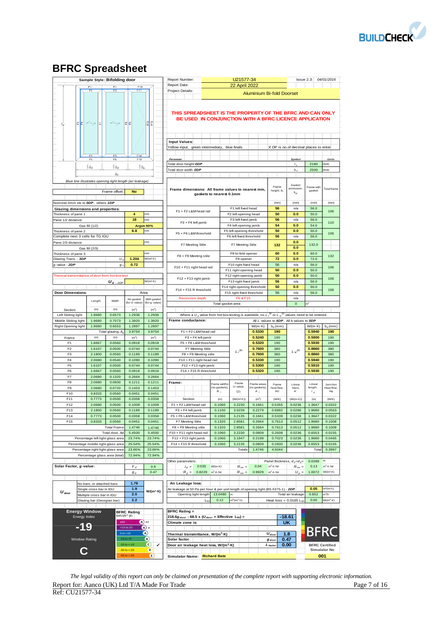

## **BFRC Spreadsheet**

|                                                                    | Sample Style: Bifolding door       |                    |                                 |                                          | Report Number:                                                                                                      |                              | U21577-34                                         |                                  |                     |                                          | Issue 2.3: 04/01/2016 |                                              |
|--------------------------------------------------------------------|------------------------------------|--------------------|---------------------------------|------------------------------------------|---------------------------------------------------------------------------------------------------------------------|------------------------------|---------------------------------------------------|----------------------------------|---------------------|------------------------------------------|-----------------------|----------------------------------------------|
|                                                                    |                                    | F1                 | F <sub>10</sub>                 |                                          | Report Date:                                                                                                        |                              | <b>22 April 2022</b>                              |                                  |                     |                                          |                       |                                              |
|                                                                    | F <sub>2</sub>                     | F <sub>2</sub>     | F11                             |                                          | Project Details:                                                                                                    |                              |                                                   | <b>Aluminium Bi-fold Doorset</b> |                     |                                          |                       |                                              |
| 오보<br>$l_d$                                                        | $2 - 7$<br>E                       |                    | 문문                              | 웺운                                       | THIS SPREADSHEET IS THE PROPERTY OF THE BFRC AND CAN ONLY<br>BE USED IN CONJUNCTION WITH A BFRC LICENCE APPLICATION |                              |                                                   |                                  |                     |                                          |                       |                                              |
|                                                                    |                                    |                    |                                 |                                          |                                                                                                                     |                              |                                                   |                                  |                     |                                          |                       |                                              |
|                                                                    |                                    |                    |                                 |                                          | <b>Input Values:</b>                                                                                                |                              |                                                   |                                  |                     |                                          |                       |                                              |
|                                                                    |                                    |                    |                                 |                                          | Yellow input, green intermediary, blue finals                                                                       |                              |                                                   |                                  |                     | X DP is no.of decimal places to enter    |                       |                                              |
|                                                                    | F <sub>5</sub>                     | F5                 | F <sub>14</sub>                 |                                          |                                                                                                                     |                              |                                                   |                                  |                     |                                          |                       |                                              |
|                                                                    | F <sub>6</sub>                     | F <sub>6</sub>     | F <sub>15</sub>                 |                                          | Parameter<br>Total door height ODP                                                                                  |                              |                                                   |                                  |                     | Symbol                                   | 2180                  | Units<br>mm                                  |
|                                                                    | $\frac{1}{3}b_d$                   | $rac{1}{3}b_d$     | $\frac{1}{3}b_d$                |                                          | Total door width ODP                                                                                                |                              |                                                   |                                  |                     | $l_d$<br>b <sub>i</sub>                  | 2500                  | mm                                           |
|                                                                    |                                    | $b_d$              |                                 |                                          |                                                                                                                     |                              |                                                   |                                  |                     |                                          |                       |                                              |
| Blue line illustrates opening light length (air leakage)           |                                    |                    |                                 |                                          |                                                                                                                     |                              |                                                   |                                  |                     |                                          |                       |                                              |
|                                                                    |                                    |                    |                                 |                                          |                                                                                                                     |                              |                                                   |                                  | Frame               | Gasket<br>protrusion.                    | Frame with            | <b>Total</b> frame                           |
|                                                                    |                                    | Frame offset:      | <b>No</b>                       |                                          | Frame dimensions: All frame values to nearest mm,                                                                   | gaskets to nearest 0.1mm     |                                                   |                                  | height, b           | $b_{gt}$                                 | gasket                |                                              |
|                                                                    |                                    |                    |                                 |                                          |                                                                                                                     |                              |                                                   |                                  |                     |                                          |                       |                                              |
| Nominal 4mm etc to ODP, others 1DP                                 |                                    |                    |                                 |                                          |                                                                                                                     |                              |                                                   |                                  | (mm)                | (mm)                                     | (mm)                  | (mm)                                         |
| <b>Glazing dimensions and properties:</b>                          |                                    |                    |                                 |                                          | F1 + F2 L&M head rail                                                                                               |                              | F1 left fixed head                                |                                  | 56                  | n/a                                      | 56.0                  | 106                                          |
| Thickness of pane 1                                                |                                    |                    | $\overline{4}$<br>18            | mm<br>mm                                 |                                                                                                                     |                              | F2 left opening head<br>F3 left fixed jamb        |                                  | 50<br>56            | 0.0<br>n/a                               | 50.0<br>56.0          |                                              |
| Pane 1/2 distance                                                  |                                    |                    |                                 |                                          | F3 + F4 left jamb                                                                                                   |                              |                                                   |                                  |                     |                                          |                       | 110                                          |
|                                                                    | Gas fill (1/2)                     |                    | 6.8                             | Argon 90%<br>mm                          |                                                                                                                     |                              | F4 left opening jamb<br>F5 left opening threshold |                                  | 54<br>50            | 0.0<br>0.0                               | 54.0<br>50.0          |                                              |
| Thickness of pane 2<br>Complete next 3 cells for TG IGU            |                                    |                    |                                 |                                          | F5 + F6 L&M threshold                                                                                               |                              | F6 left fixed threshold                           |                                  | 56                  | n/a                                      | 56.0                  | 106                                          |
|                                                                    |                                    |                    |                                 | mm                                       |                                                                                                                     |                              |                                                   |                                  |                     | 0.0                                      |                       |                                              |
| Pane 2/3 distance                                                  | Gas fill (2/3)                     |                    |                                 |                                          | F7 Meeting Stile                                                                                                    |                              | F7 Meeting Stile                                  |                                  | 132                 | 0.0                                      | 132.0                 |                                              |
| Thickness of pane 3                                                |                                    |                    |                                 | mm                                       |                                                                                                                     |                              | F8 bi-fold opener                                 |                                  | 60                  | 0.0                                      | 60.0                  |                                              |
| Glazing Trans. - 3DP                                               |                                    | U                  | 1.204                           | W/(m <sup>2</sup> ·K)                    | F8 + F9 Meeting stile                                                                                               |                              | F9 opener                                         |                                  | 72                  | 0.0                                      | 72.0                  | 132                                          |
| g-value - 2DP                                                      |                                    | g                  | 0.72                            |                                          |                                                                                                                     |                              | F10 right fixed head                              |                                  | 56                  | n/a                                      | 56.0                  |                                              |
|                                                                    |                                    |                    |                                 |                                          | F10 + F11 right head rail                                                                                           |                              | F11 right opening head                            |                                  | 50                  | 0.0                                      | 50.0                  | 106                                          |
| Thermal transmittance of door from hot box test                    |                                    |                    |                                 |                                          |                                                                                                                     |                              | F12 right opening jamb                            |                                  | 50                  | 0.0                                      | 50.0                  |                                              |
|                                                                    |                                    | $U_d$ . 2DP        |                                 | W/(m <sup>2</sup> ·K)                    | F12 + F13 right jamb                                                                                                |                              | F13 right fixed jamb                              |                                  | 56                  | n/a                                      | 56.0                  | 106                                          |
|                                                                    |                                    |                    |                                 |                                          |                                                                                                                     |                              | F14 right opening threshold                       |                                  | 50                  | 0.0                                      | 50.0                  |                                              |
| <b>Door Dimensions:</b>                                            |                                    |                    |                                 | Area                                     | F14 + F15 R threshold                                                                                               |                              | F15 right fixed threshold                         |                                  | 56                  | n/a                                      | 56.0                  | 106                                          |
|                                                                    |                                    |                    | No gasket                       | With gasket                              | <b>Recession depth</b>                                                                                              |                              | F6 & F15:                                         |                                  |                     | n/a                                      |                       |                                              |
|                                                                    | Length                             | Width              | (for U-value)                   | (for g-value)                            |                                                                                                                     | Total gasket area            |                                                   |                                  |                     | $\mathbf 0$                              |                       |                                              |
| Section                                                            | (m)                                | (m)                | (m <sup>2</sup> )               | (m <sup>2</sup> )                        |                                                                                                                     |                              |                                                   |                                  |                     |                                          |                       |                                              |
| Left Sliding light                                                 | 1.9680                             | 0.6573             | 1.2936                          | 1.2936                                   | Where a $U_d$ value from hot box testing is available, no $L_f^{2D}$ or $L_{\psi}^{2D}$ values need to be entered   |                              |                                                   |                                  |                     |                                          |                       |                                              |
| Middle Sliding light                                               | 1.9680                             | 0.7073             | 1.3920                          | 1.3920                                   | Frame conductance:                                                                                                  |                              |                                                   |                                  |                     | All L values to 4DP. All b values to ODP |                       |                                              |
| Right Opening light                                                | 1.9680                             | 0.6553             | 1.2897                          | 1.2897                                   |                                                                                                                     |                              |                                                   | $W/(m \cdot K)$                  | $b_{p}$ (mm)        |                                          | $W/(m \cdot K)$       | $b_q$ (mm)                                   |
|                                                                    |                                    | Total glazing, A   | 3.9754                          | 3.9754                                   | F1 + F2 L&M head rail                                                                                               |                              |                                                   | 0.5330                           | 190                 |                                          | 0.5940                | 190                                          |
| Frame                                                              | (m)                                | (m)                | (m <sup>2</sup> )               | (m <sup>2</sup> )                        | F3 + F4 left jamb                                                                                                   |                              |                                                   | 0.5240                           | 190                 |                                          | 0.5900                | 190                                          |
| F <sub>1</sub>                                                     | 1.6667                             | 0.0560             | 0.0918                          | 0.0918                                   | F5 + F6 L&M threshold                                                                                               |                              |                                                   | 0.5320                           | 190                 |                                          | 0.5930                | 190                                          |
| F <sub>2</sub>                                                     | 1.6107                             | 0.0500             | 0.0744                          | 0.0744                                   | F7 Meeting Stile                                                                                                    |                              | $L_f^{2D}$                                        | 0.7600                           | 380                 | $L\,\varphi^{\rm 2D}$                    | 0.8860                | 380                                          |
| F <sub>3</sub>                                                     | 2.1800                             | 0.0560             | 0.1189                          | 0.1189                                   | F8 + F9 Meeting stile                                                                                               |                              |                                                   | 0.7600                           | 380                 |                                          | 0.8860                | 380                                          |
| F4                                                                 | 2.0680                             | 0.0540             | 0.1090                          | 0.1090                                   | F10 + F11 right head rail                                                                                           |                              |                                                   | 0.5330                           | 190                 |                                          | 0.5940                | 190                                          |
| F <sub>5</sub>                                                     | 1.6107                             | 0.0500             | 0.0744                          | 0.0744                                   | F12 + F13 right jamb                                                                                                |                              |                                                   | 0.5300                           | 190                 |                                          | 0.5910                | 190                                          |
| F6                                                                 | 1.6667                             | 0.0560             | 0.0918                          | 0.0918                                   | F14 + F15 R threshold                                                                                               |                              |                                                   | 0.5320                           | 190                 |                                          | 0.5930                | 190                                          |
| F7                                                                 | 2.0680                             | 0.1320             | 0.2664                          | 0.2664                                   |                                                                                                                     |                              |                                                   |                                  |                     |                                          |                       |                                              |
| F <sub>8</sub><br>F9                                               | 2.0680<br>2.0680                   | 0.0600<br>0.0720   | 0.1211<br>0.1453                | 0.1211<br>0.1453                         | Frame:                                                                                                              | Frame widths<br>(no gaskets) | Frame<br>U-value,                                 | Frame areas<br>(no gaskets)      | Frame<br>heat flow. | Linear                                   | Linear<br>length,     | Junction<br>Heat flow.                       |
| F10                                                                | 0.8333                             | 0.0560             | 0.0451                          | 0.0451                                   |                                                                                                                     | в,                           | $U_f$                                             | $A_{f}$                          | HU                  | trans,<br>$\psi$                         | $I_g$                 | $H\psi$                                      |
| F11                                                                | 0.7773                             | 0.0500             | 0.0358                          | 0.0358                                   | Section                                                                                                             | (m)                          | $(W/(m^2 \cdot K))$                               | (m <sup>2</sup> )                | (W/K)               | $(W/(m \cdot K))$                        | (m)                   | (W/K)                                        |
| F12                                                                | 2.0680                             | 0.0500             | 0.1009                          | 0.1009                                   | F1 + F2 L&M head rail                                                                                               | 0.1060                       | 3.2230                                            | 0.1661                           | 0.5355              | 0.0236                                   | 1.3647                | 0.0322                                       |
| F13                                                                | 2.1800                             | 0.0560             | 0.1189                          | 0.1189                                   | F3 + F4 left jamb                                                                                                   | 0.1100                       | 3.0239                                            | 0.2279                           | 0.6892              | 0.0286                                   | 1.9680                | 0.0563                                       |
| F14                                                                | 0.7773                             | 0.0500             | 0.0358                          | 0.0358                                   | F5 + F6 L&M threshold                                                                                               | 0.1060                       | 3.2135                                            | 0.1661                           | 0.5339              | 0.0236                                   | 1.3647                | 0.0322                                       |
| F15                                                                | 0.8333                             | 0.0560             | 0.0451                          | 0.0451                                   | F7 Meeting Stile                                                                                                    | 0.1320                       | 2.8581                                            | 0.2664                           | 0.7613              | 0.0512                                   | 1.9680                | 0.1008                                       |
|                                                                    |                                    | <b>Total Frame</b> | 1.4746                          | 1.4746                                   | F8 + F9 Meeting stile                                                                                               | 0.1320                       | 2.8581                                            | 0.2664                           | 0.7613              | 0.0512                                   | 1.9680                | 0.1008                                       |
|                                                                    |                                    | Total door, Ad     | 5.4500                          | 5.4500                                   | F10 + F11 right head rail                                                                                           | 0.1060                       | 3.2230                                            | 0.0809                           | 0.2608              | 0.0236                                   | 0.6553                | 0.0155                                       |
|                                                                    | Percentage left light glass area   |                    | 23.74%                          | 23.74%                                   | $F12 + F13$ right jamb                                                                                              | 0.1060                       | 3.1947                                            | 0.2198                           | 0.7023              | 0.0236                                   | 1.9680                | 0.0465                                       |
|                                                                    | Percentage middle light glass area |                    | 25.54%                          | 25.54%                                   | F14 + F15 R threshold                                                                                               | 0.1060                       | 3.2135                                            | 0.0809                           | 0.2600              | 0.0236                                   | 0.6553                | 0.0155                                       |
|                                                                    | Percentage right light glass area  |                    | 23.66%                          | 23.66%                                   |                                                                                                                     |                              | Totals                                            | 1.4746                           | 4.5044              |                                          | Total                 | 0.3997                                       |
|                                                                    | Percentage glass area (total)      |                    | 72.94%                          | 72.94%                                   |                                                                                                                     |                              |                                                   |                                  |                     |                                          |                       |                                              |
|                                                                    |                                    |                    |                                 |                                          | Other parameters:                                                                                                   |                              |                                                   |                                  |                     | Panel thickness, $d_p = d_g =$           | 0.0288                | m                                            |
| Solar Factor, g-value:                                             |                                    |                    | $F_d$                           | 0.9                                      | 0.035<br>$\lambda_p =$                                                                                              | $W/(m-K)$                    | $R_{se} =$                                        | 0.04                             | $m^2$ -K /W         | $R_{se} =$                               | 0.13                  | $m^2$ -K /W                                  |
|                                                                    |                                    |                    | $g_d$                           | 0.47                                     | $R_p =$<br>0.8229                                                                                                   | $m^2$ -K /W                  | $R_{tot} =$                                       | 0.9929                           | $m^2$ -K /W         | $U_p =$                                  | 1.0072                | W/(m <sup>2</sup> ·K)                        |
|                                                                    |                                    |                    |                                 |                                          |                                                                                                                     |                              |                                                   |                                  |                     |                                          |                       |                                              |
|                                                                    | No bars; or attached bars          |                    | 1.78                            |                                          | Air Leakage loss:                                                                                                   |                              |                                                   |                                  |                     |                                          |                       |                                              |
| $U_{door}$                                                         | Single cross bar in IGU            |                    | 1.9                             | $W/(m^2 \cdot K)$                        | Air leakage at 50 Pa per hour & per unit length of opening light (BS 6375-1) - 2DP                                  |                              |                                                   |                                  |                     |                                          | 0.05                  | $m^{3}/(m \cdot h)$                          |
|                                                                    | Multiple cross bar in IGU          |                    | 2.0                             |                                          | Opening light length                                                                                                | 13.0480                      | m                                                 |                                  |                     | Total air leakage                        | 0.652                 | $m^3/h$                                      |
|                                                                    | Glazing bar (Georgian bar)         |                    | 2.2                             |                                          | $L_{51}$                                                                                                            | 0.12                         | $m^3/(m^2 \cdot h)$                               |                                  |                     | Heat $loss = 0.0165$ L <sub>5</sub>      | 0.00                  | $W/(m^2 \cdot K)$                            |
|                                                                    |                                    |                    |                                 |                                          |                                                                                                                     |                              |                                                   |                                  |                     |                                          |                       |                                              |
| <b>Energy Window</b><br><b>BFRC Rating =</b><br><b>BFRC Rating</b> |                                    |                    |                                 |                                          |                                                                                                                     |                              |                                                   |                                  | $-18.61$            |                                          |                       |                                              |
|                                                                    |                                    |                    |                                 | kWh/(m <sup>2</sup> ·yr)<br>Energy Index |                                                                                                                     |                              |                                                   |                                  |                     |                                          |                       |                                              |
|                                                                    |                                    |                    |                                 |                                          | 218.6 $g_{door}$ - 68.5 x ( $U_{door}$ + Effective L <sub>50</sub> ) =                                              |                              |                                                   |                                  |                     |                                          |                       |                                              |
|                                                                    |                                    | $\geq 20$          |                                 | $(A) +$                                  | Climate zone is:                                                                                                    |                              |                                                   |                                  |                     | <b>UK</b>                                |                       |                                              |
| -19                                                                |                                    |                    | >10 to 20                       | $\overline{A}$                           |                                                                                                                     |                              |                                                   |                                  |                     |                                          |                       |                                              |
|                                                                    |                                    |                    | $0$ to $< 10$<br>$-10$ to $< 0$ | $\omega$                                 | Thermal transmittance, W/(m <sup>2</sup> ·K)                                                                        |                              |                                                   |                                  | $U_{dool}$          | 1.8                                      |                       | <b>BFRC</b>                                  |
| Window Rating                                                      |                                    |                    | $-20$ to $< -10$                | B)<br>✔                                  | Solar factor                                                                                                        |                              |                                                   |                                  | $g$ <sub>dool</sub> | 0.47                                     |                       |                                              |
| C                                                                  |                                    |                    | $-30$ to $< -20$                | $\mathsf{c}$<br>D.                       | Door air leakage heat loss, W/(m <sup>2</sup> ·K)                                                                   |                              |                                                   |                                  | $L_{factor}$        | 0.00                                     |                       | <b>BFRC Certified</b><br><b>Simulator No</b> |

*The legal validity of this report can only be claimed on presentation of the complete report with supporting electronic information.*  Report for: Aanco (UK) Ltd T/A Made For Trade Page 7 of 16 Ref: CU21577-34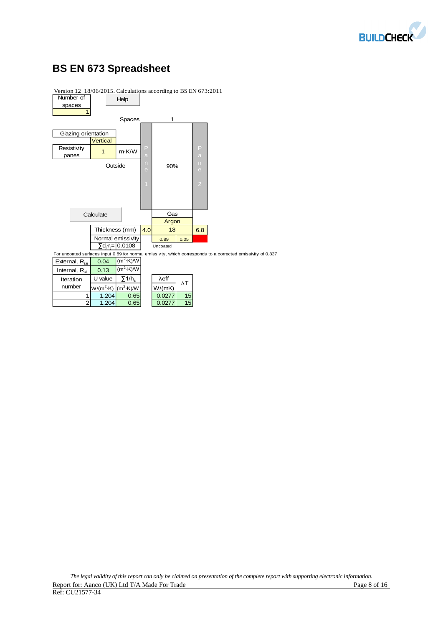

## **BS EN 673 Spreadsheet**



2 1.204 0.65 0.0277 15

Version 12 18/06/2015. Calculations according to BS EN 673:2011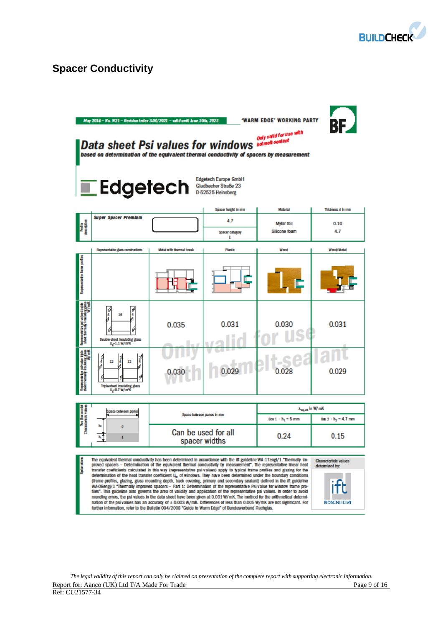

## **Spacer Conductivity**

|                                                                                                        | May 2014 - No. W21 - Revision index 3-06/2021 - valid until June 30th, 2023<br>'WARM EDGE' WORKING PARTY<br>BE<br>Only valid for use with<br>Data sheet Psi values for windows <b>Mature A. Seal ant</b><br>based on determination of the equivalent thermal conductivity of spacers by measurement<br><b>Edgetech Europe GmbH</b><br><i><b>Edgetech</b></i> Stadbacher Straße 2<br>Gladbacher Straße 23                                                                                                                                                                                                                                                                                                                                                                                                                                                                                                                                                                                                                                                                                                                                                                                                                                                                                                                |                                      |                             |                                    |                                |  |  |
|--------------------------------------------------------------------------------------------------------|-------------------------------------------------------------------------------------------------------------------------------------------------------------------------------------------------------------------------------------------------------------------------------------------------------------------------------------------------------------------------------------------------------------------------------------------------------------------------------------------------------------------------------------------------------------------------------------------------------------------------------------------------------------------------------------------------------------------------------------------------------------------------------------------------------------------------------------------------------------------------------------------------------------------------------------------------------------------------------------------------------------------------------------------------------------------------------------------------------------------------------------------------------------------------------------------------------------------------------------------------------------------------------------------------------------------------|--------------------------------------|-----------------------------|------------------------------------|--------------------------------|--|--|
|                                                                                                        | <b>Super Spacer Premium</b>                                                                                                                                                                                                                                                                                                                                                                                                                                                                                                                                                                                                                                                                                                                                                                                                                                                                                                                                                                                                                                                                                                                                                                                                                                                                                             |                                      | Spacer height in mm         | <b>Material</b>                    | Thickness d in mm              |  |  |
| Profile<br>description                                                                                 |                                                                                                                                                                                                                                                                                                                                                                                                                                                                                                                                                                                                                                                                                                                                                                                                                                                                                                                                                                                                                                                                                                                                                                                                                                                                                                                         |                                      | 4.7<br>Spacer category<br>Ε | <b>Mylar foil</b><br>Silicone foam | 0.10<br>4.7                    |  |  |
|                                                                                                        | Representative glass constructions                                                                                                                                                                                                                                                                                                                                                                                                                                                                                                                                                                                                                                                                                                                                                                                                                                                                                                                                                                                                                                                                                                                                                                                                                                                                                      | Motal with thermal break             | <b>Plastic</b>              | Wood                               | Wood/Matal                     |  |  |
| Repeatate fare potts                                                                                   |                                                                                                                                                                                                                                                                                                                                                                                                                                                                                                                                                                                                                                                                                                                                                                                                                                                                                                                                                                                                                                                                                                                                                                                                                                                                                                                         |                                      |                             |                                    |                                |  |  |
| Representative polivalise double<br>Sheet thermaly inculating glass<br>Sheet thermaly inculately finit | J<br>₽<br>16<br>4<br>Double-sheet insulating glass<br>$U_g$ -1.1 W/m%                                                                                                                                                                                                                                                                                                                                                                                                                                                                                                                                                                                                                                                                                                                                                                                                                                                                                                                                                                                                                                                                                                                                                                                                                                                   | 0.035                                | 0.031                       | 0.030                              | 0.031                          |  |  |
| Represent the palmatics and<br>deet thermally insulating glass                                         | J<br>Î<br>12<br>12<br>Triple-sheet insulating glass<br>U <sub>g</sub> =0.7 W/m%                                                                                                                                                                                                                                                                                                                                                                                                                                                                                                                                                                                                                                                                                                                                                                                                                                                                                                                                                                                                                                                                                                                                                                                                                                         |                                      |                             | 0.028                              | 0.029                          |  |  |
|                                                                                                        |                                                                                                                                                                                                                                                                                                                                                                                                                                                                                                                                                                                                                                                                                                                                                                                                                                                                                                                                                                                                                                                                                                                                                                                                                                                                                                                         |                                      |                             |                                    | $\lambda_{\rm eq, 25}$ in W/mK |  |  |
| ino Bommode<br>Womackatako wali                                                                        | Space between panes                                                                                                                                                                                                                                                                                                                                                                                                                                                                                                                                                                                                                                                                                                                                                                                                                                                                                                                                                                                                                                                                                                                                                                                                                                                                                                     | Space between panes in mm            |                             | Box 1 - h <sub>1</sub> = 5 mm      | $Bar 2 - h2 = 4.7$ mm          |  |  |
|                                                                                                        | 2<br>$\mathbf{1}$                                                                                                                                                                                                                                                                                                                                                                                                                                                                                                                                                                                                                                                                                                                                                                                                                                                                                                                                                                                                                                                                                                                                                                                                                                                                                                       | Can be used for all<br>spacer widths |                             | 0.24                               | 0.15                           |  |  |
|                                                                                                        | The equivalent thermal conductivity has been determined in accordance with the ift guideline WA-17engl/1 "Thermally im-<br>Characteristic values<br>proved spacers - Determination of the equivalent thermal conductivity by measurement". The representative linear heat<br>determined by:<br>transfer coefficients calculated in this way (representative psi values) apply to typical frame profiles and glazing for the<br>determination of the heat transfer coefficient U, of windows. They have been determined under the boundary conditions<br>(frame profiles, glazing, glass mounting depth, back covering, primary and secondary sealant) defined in the ift guideline<br>WA-OBengl/3 "Thermally improved spacers - Part 1: Determination of the representative Psi value for window frame pro-<br>files". This guideline also governs the area of validity and application of the representative psi values. In order to avoid<br>rounding errors, the psi values in the data sheet have been given at 0.001 W/mK. The method for the arithmetical determi-<br>nation of the psi values has an accuracy of ± 0.003 W/mK. Differences of less than 0.005 W/mK are not significant. For<br>ROSENHEIM<br>further information, refer to the Bulletin 004/2008 "Guide to Warm Edge" of Bundesverband Flachglas. |                                      |                             |                                    |                                |  |  |

*The legal validity of this report can only be claimed on presentation of the complete report with supporting electronic information.*  Report for: Aanco (UK) Ltd T/A Made For Trade **Page 9** of 16 Ref: CU21577-34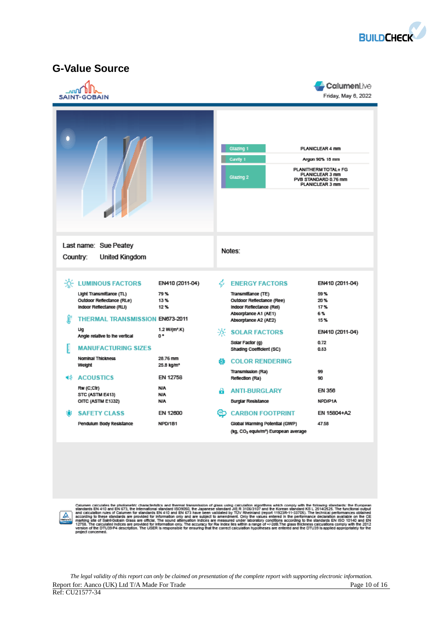

## **G-Value Source**

| ոпՈ<br><b>SAINT-GOBAIN</b>                                                                                                                                                                                                                                                                                                                                                       |                                                                                                                                                                                 |               |                                                                                                                                                                                                                                                                                                                                                                            | <b>CalumenLive</b><br>Friday, May 6, 2022                                                                                            |
|----------------------------------------------------------------------------------------------------------------------------------------------------------------------------------------------------------------------------------------------------------------------------------------------------------------------------------------------------------------------------------|---------------------------------------------------------------------------------------------------------------------------------------------------------------------------------|---------------|----------------------------------------------------------------------------------------------------------------------------------------------------------------------------------------------------------------------------------------------------------------------------------------------------------------------------------------------------------------------------|--------------------------------------------------------------------------------------------------------------------------------------|
|                                                                                                                                                                                                                                                                                                                                                                                  |                                                                                                                                                                                 |               | Glazing 1<br>Cavity 1<br>Glazing 2                                                                                                                                                                                                                                                                                                                                         | PLANICLEAR 4 mm<br>Argon 90% 18 mm<br>PLANITHERM TOTAL+ FG<br><b>PLANICLEAR 3 mm</b><br>PVB STANDARD 0.76 mm<br>PLANICLEAR 3 mm      |
| Last name: Sue Peatey<br>Country:<br><b>United Kingdom</b>                                                                                                                                                                                                                                                                                                                       |                                                                                                                                                                                 |               | Notes:                                                                                                                                                                                                                                                                                                                                                                     |                                                                                                                                      |
| <b>EXECUTE LUMINOUS FACTORS</b><br>Light Transmittance (TL)<br>Outdoor Reflectance (RLe)<br>Indoor Reflectance (RLI)<br>œ<br><b>THERMAL TRANSMISSION EN673-2011</b><br>Uq<br>Angle relative to the vertical<br><b>MANUFACTURING SIZES</b><br>Nominal Thickness<br>Weight<br><b>ACOUSTICS</b><br>40.<br>Rw (C;Ctr)<br>STC (ASTM E413)<br>OITC (ASTM E1332)<br><b>SAFETY CLASS</b> | EN410 (2011-04)<br>79%<br>13%<br>12%<br>1.2 W/(m <sup>z</sup> .K)<br>0°<br>28.76 mm<br>25.8 kg/m <sup>2</sup><br>EN 12758<br><b>N/A</b><br><b>N/A</b><br><b>N/A</b><br>EN 12600 | £ã.<br>a<br>⊛ | $\phi$ ENERGY FACTORS<br>Transmittance (TE)<br>Outdoor Reflectance (Ree)<br>Indoor Reflectance (Rel)<br>Absorptance A1 (AE1)<br>Absorptance A2 (AE2)<br>-0-SOLAR FACTORS<br>Solar Factor (g)<br>Shading Coefficient (SC)<br><b>COLOR RENDERING</b><br>Transmission (Ra)<br>Reflection (Ra)<br><b>ANTI-BURGLARY</b><br><b>Burglar Resistance</b><br><b>CARBON FOOTPRINT</b> | EN410 (2011-04)<br>59%<br>20%<br>17%<br>6%<br>15%<br>EN410 (2011-04)<br>0.72<br>0.83<br>99<br>90<br>EN 356<br>NPD/P1A<br>EN 15804+A2 |
| Pendulum Body Resistance                                                                                                                                                                                                                                                                                                                                                         | NPD/1B1                                                                                                                                                                         |               | Global Warming Potential (GWP)<br>(kg, CO2 equiw/m <sup>2</sup> ) European average                                                                                                                                                                                                                                                                                         | 47.58                                                                                                                                |



Calumen calculates the photometric characteristics and thermal transmission of glass using calculation algorithms which comply with the following standards: the European<br>standards EN 410 and EN 673, the infermational stand

*The legal validity of this report can only be claimed on presentation of the complete report with supporting electronic information.*  Report for: Aanco (UK) Ltd T/A Made For Trade Page 10 of 16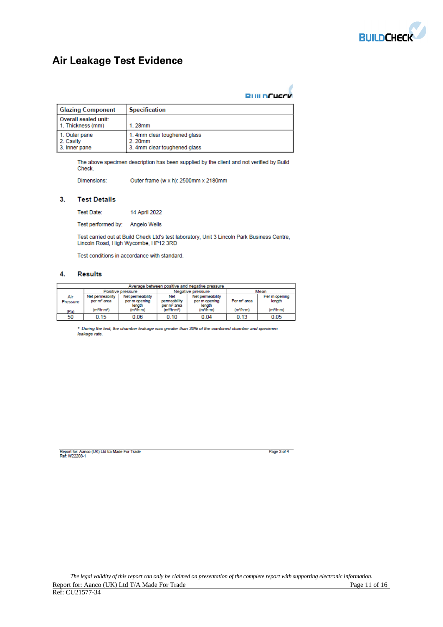

## **Air Leakage Test Evidence**

|  | <b>RIIII NCUCCK</b> |  |
|--|---------------------|--|

ź

| <b>Glazing Component</b>                    | <b>Specification</b>                                                   |
|---------------------------------------------|------------------------------------------------------------------------|
| Overall sealed unit:<br>1. Thickness (mm)   | $1.28$ mm                                                              |
| 1. Outer pane<br>2. Cavity<br>3. Inner pane | 1. 4mm clear toughened glass<br>2.20mm<br>3. 4mm clear toughened glass |

The above specimen description has been supplied by the client and not verified by Build Check.

Dimensions: Outer frame (w x h): 2500mm x 2180mm

#### $3.$ **Test Details**

Test Date: 14 April 2022

Test performed by: Angelo Wells

Test carried out at Build Check Ltd's test laboratory, Unit 3 Lincoln Park Business Centre, Lincoln Road, High Wycombe, HP12 3RD

Test conditions in accordance with standard.

#### 4. **Results**

| Average between positive and negative pressure |                                             |                                             |                                                       |                                             |                         |                         |
|------------------------------------------------|---------------------------------------------|---------------------------------------------|-------------------------------------------------------|---------------------------------------------|-------------------------|-------------------------|
|                                                |                                             | Positive pressure                           |                                                       | Negative pressure                           |                         | Mean                    |
| Air<br>Pressure                                | Net permeability<br>per m <sup>2</sup> area | Net permeability<br>per m opening<br>length | <b>Net</b><br>permeability<br>per m <sup>2</sup> area | Net permeability<br>per m opening<br>length | Per m <sup>2</sup> area | Per m opening<br>length |
| (Pa)                                           | (m <sup>3</sup> /h·m <sup>2</sup> )         | (m <sup>3</sup> /h·m)                       | (m <sup>3</sup> /h·m <sup>2</sup> )                   | (m <sup>3</sup> /h·m)                       | (m <sup>3</sup> /h·m)   | (m <sup>3</sup> /h·m)   |
| 50                                             | 0.15                                        | 0.06                                        | 0.10                                                  | 0.04                                        | 0.13                    | 0.05                    |

\* During the test, the chamber leakage was greater than 30% of the combined chamber and specimen leakage rate.

Report for: Aanco (UK) Ltd t/a Made For Trade<br>Ref: W22208-1

Page 3 of 4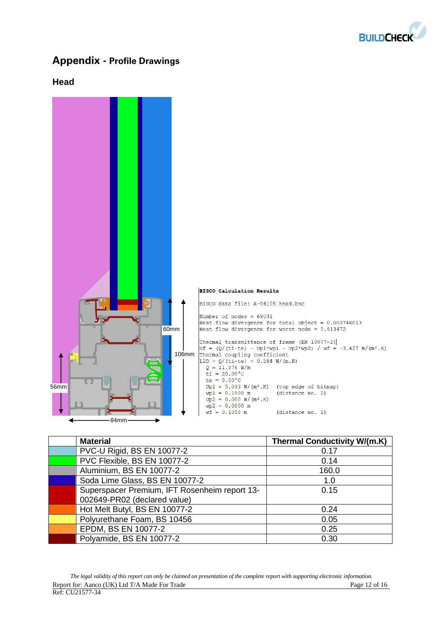

## **Appendix - Profile Drawings**

#### **Head**



| <b>Material</b>                               | <b>Thermal Conductivity W/(m.K)</b> |
|-----------------------------------------------|-------------------------------------|
| PVC-U Rigid, BS EN 10077-2                    | 0.17                                |
| PVC Flexible, BS EN 10077-2                   | 0.14                                |
| Aluminium, BS EN 10077-2                      | 160.0                               |
| Soda Lime Glass, BS EN 10077-2                | 1.0                                 |
| Superspacer Premium, IFT Rosenheim report 13- | 0.15                                |
| 002649-PR02 (declared value)                  |                                     |
| Hot Melt Butyl, BS EN 10077-2                 | 0.24                                |
| Polyurethane Foam, BS 10456                   | 0.05                                |
| EPDM, BS EN 10077-2                           | 0.25                                |
| Polyamide, BS EN 10077-2                      | 0.30                                |

*The legal validity of this report can only be claimed on presentation of the complete report with supporting electronic information.*  Report for: Aanco (UK) Ltd T/A Made For Trade Page 12 of 16 Ref: CU21577-34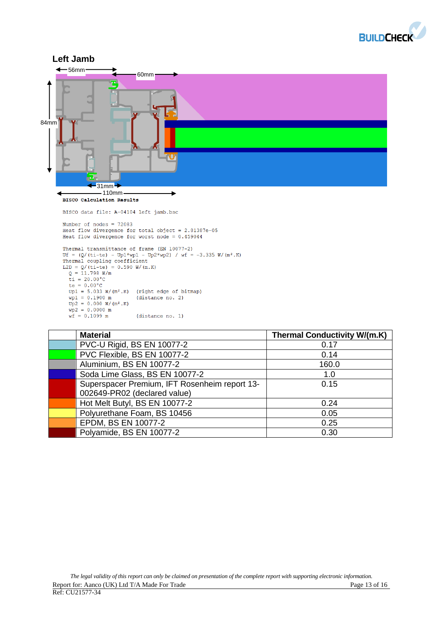



| <b>Material</b>                               | <b>Thermal Conductivity W/(m.K)</b> |
|-----------------------------------------------|-------------------------------------|
| PVC-U Rigid, BS EN 10077-2                    | 0.17                                |
| PVC Flexible, BS EN 10077-2                   | 0.14                                |
| Aluminium, BS EN 10077-2                      | 160.0                               |
| Soda Lime Glass, BS EN 10077-2                | 1.0                                 |
| Superspacer Premium, IFT Rosenheim report 13- | 0.15                                |
| 002649-PR02 (declared value)                  |                                     |
| Hot Melt Butyl, BS EN 10077-2                 | 0.24                                |
| Polyurethane Foam, BS 10456                   | 0.05                                |
| EPDM, BS EN 10077-2                           | 0.25                                |
| Polyamide, BS EN 10077-2                      | 0.30                                |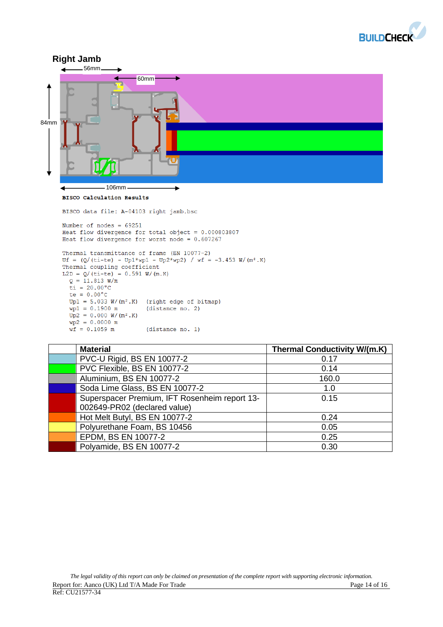![](_page_13_Picture_0.jpeg)

![](_page_13_Figure_1.jpeg)

```
Thermal transmittance of frame (EN 10077-2)
INSTRUCTED 1 USBN 10077-2)<br>Uf = (Q/(t-te) - Up1*wp1 - Up2*wp2) / wf = -3.453 W/(m<sup>2</sup> K)<br>Thermal coupling coefficient
L2D = Q/(t i - te) = 0.591 W/(m.K)Q = 11.813 W/m
  \bar{t}i = 20.00°C
  te = 0.00^{\circ}C
  Up1 = 5.033 W/(m^2.K)(right edge of bitmap)
  wp1 = 0.1900 m(distance no. 2)
  Up2 = 0.000 W/(m^2.K)wp2 = 0.0000 mwf = 0.1059 m(distance no. 1)
```

| <b>Material</b>                               | <b>Thermal Conductivity W/(m.K)</b> |
|-----------------------------------------------|-------------------------------------|
| PVC-U Rigid, BS EN 10077-2                    | 0.17                                |
| PVC Flexible, BS EN 10077-2                   | 0.14                                |
| Aluminium, BS EN 10077-2                      | 160.0                               |
| Soda Lime Glass, BS EN 10077-2                | 1.0                                 |
| Superspacer Premium, IFT Rosenheim report 13- | 0.15                                |
| 002649-PR02 (declared value)                  |                                     |
| Hot Melt Butyl, BS EN 10077-2                 | 0.24                                |
| Polyurethane Foam, BS 10456                   | 0.05                                |
| EPDM, BS EN 10077-2                           | 0.25                                |
| Polyamide, BS EN 10077-2                      | 0.30                                |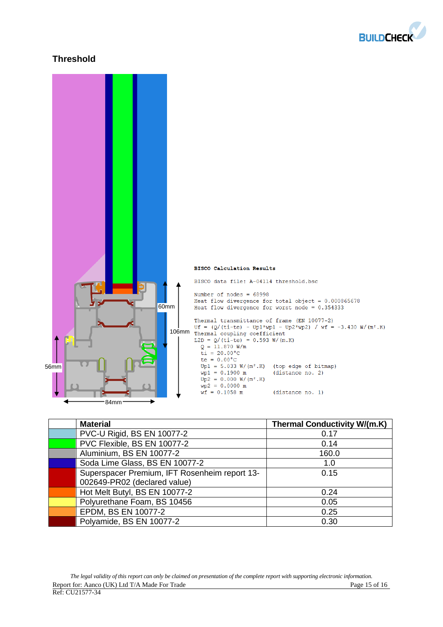![](_page_14_Picture_0.jpeg)

## **Threshold**

![](_page_14_Figure_2.jpeg)

| <b>Material</b>                               | <b>Thermal Conductivity W/(m.K)</b> |
|-----------------------------------------------|-------------------------------------|
| PVC-U Rigid, BS EN 10077-2                    | 0.17                                |
| PVC Flexible, BS EN 10077-2                   | 0.14                                |
| Aluminium, BS EN 10077-2                      | 160.0                               |
| Soda Lime Glass, BS EN 10077-2                | 1.0                                 |
| Superspacer Premium, IFT Rosenheim report 13- | 0.15                                |
| 002649-PR02 (declared value)                  |                                     |
| Hot Melt Butyl, BS EN 10077-2                 | 0.24                                |
| Polyurethane Foam, BS 10456                   | 0.05                                |
| EPDM, BS EN 10077-2                           | 0.25                                |
| Polyamide, BS EN 10077-2                      | 0.30                                |